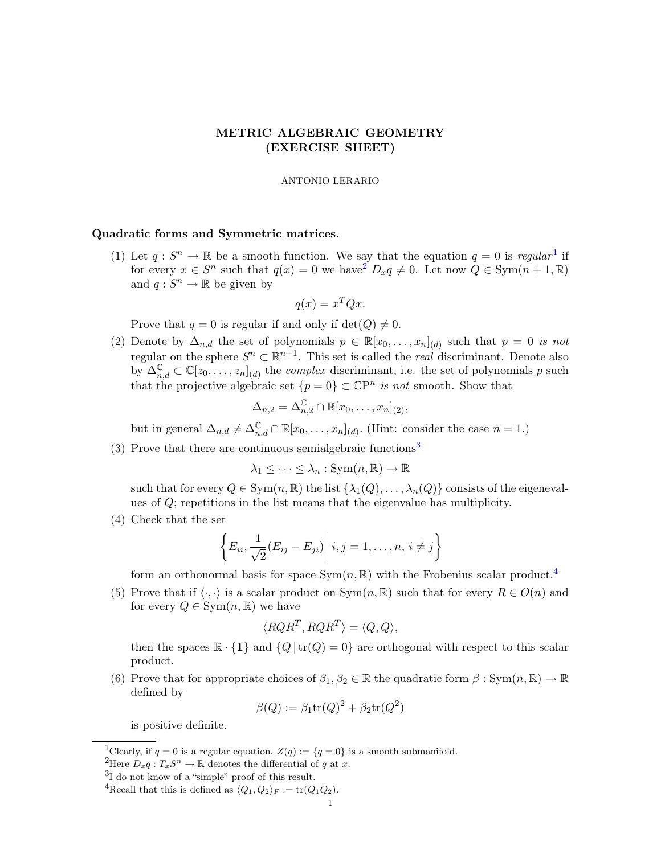## METRIC ALGEBRAIC GEOMETRY (EXERCISE SHEET)

## ANTONIO LERARIO

## <span id="page-0-4"></span>Quadratic forms and Symmetric matrices.

([1](#page-0-0)) Let  $q: S^n \to \mathbb{R}$  be a smooth function. We say that the equation  $q = 0$  is regular<sup>1</sup> if for every  $x \in S^n$  such that  $q(x) = 0$  we have  $D_x q \neq 0$ . Let now  $Q \in \text{Sym}(n + 1, \mathbb{R})$ and  $q: S^n \to \mathbb{R}$  be given by

$$
q(x) = x^T Q x.
$$

Prove that  $q = 0$  is regular if and only if  $\det(Q) \neq 0$ .

(2) Denote by  $\Delta_{n,d}$  the set of polynomials  $p \in \mathbb{R}[x_0,\ldots,x_n]_{(d)}$  such that  $p=0$  is not regular on the sphere  $S^n \subset \mathbb{R}^{n+1}$ . This set is called the *real* discriminant. Denote also by  $\Delta_{n,d}^{\mathbb{C}} \subset \mathbb{C}[z_0,\ldots,z_n]_{(d)}$  the *complex* discriminant, i.e. the set of polynomials p such that the projective algebraic set  $\{p=0\} \subset \mathbb{C}P^n$  is not smooth. Show that

$$
\Delta_{n,2} = \Delta_{n,2}^{\mathbb{C}} \cap \mathbb{R}[x_0,\ldots,x_n]_{(2)},
$$

but in general  $\Delta_{n,d} \neq \Delta_{n,d}^{\mathbb{C}} \cap \mathbb{R}[x_0,\ldots,x_n]_{(d)}$ . (Hint: consider the case  $n = 1$ .)

([3](#page-0-2)) Prove that there are continuous semialgebraic functions<sup>3</sup>

 $\lambda_1 \leq \cdots \leq \lambda_n : \text{Sym}(n, \mathbb{R}) \to \mathbb{R}$ 

such that for every  $Q \in \text{Sym}(n, \mathbb{R})$  the list  $\{\lambda_1(Q), \ldots, \lambda_n(Q)\}$  consists of the eigenevalues of Q; repetitions in the list means that the eigenvalue has multiplicity.

(4) Check that the set

$$
\left\{E_{ii}, \frac{1}{\sqrt{2}}(E_{ij}-E_{ji})\,\bigg|\,i,j=1,\ldots,n,\,i\neq j\right\}
$$

form an orthonormal basis for space  $Sym(n, \mathbb{R})$  with the Frobenius scalar product.<sup>[4](#page-0-3)</sup>

(5) Prove that if  $\langle \cdot, \cdot \rangle$  is a scalar product on Sym $(n, \mathbb{R})$  such that for every  $R \in O(n)$  and for every  $Q \in \text{Sym}(n, \mathbb{R})$  we have

$$
\langle RQR^T, RQR^T \rangle = \langle Q, Q \rangle,
$$

then the spaces  $\mathbb{R} \cdot \{1\}$  and  $\{Q | tr(Q) = 0\}$  are orthogonal with respect to this scalar product.

(6) Prove that for appropriate choices of  $\beta_1, \beta_2 \in \mathbb{R}$  the quadratic form  $\beta : Sym(n, \mathbb{R}) \to \mathbb{R}$ defined by

$$
\beta(Q) := \beta_1 \text{tr}(Q)^2 + \beta_2 \text{tr}(Q^2)
$$

is positive definite.

<span id="page-0-0"></span><sup>&</sup>lt;sup>1</sup>Clearly, if  $q = 0$  is a regular equation,  $Z(q) := \{q = 0\}$  is a smooth submanifold.

<span id="page-0-1"></span><sup>&</sup>lt;sup>2</sup>Here  $D_x q: T_x S^n \to \mathbb{R}$  denotes the differential of q at x.

<span id="page-0-2"></span><sup>3</sup> I do not know of a "simple" proof of this result.

<span id="page-0-3"></span><sup>&</sup>lt;sup>4</sup>Recall that this is defined as  $\langle Q_1, Q_2\rangle_F := \text{tr}(Q_1Q_2)$ .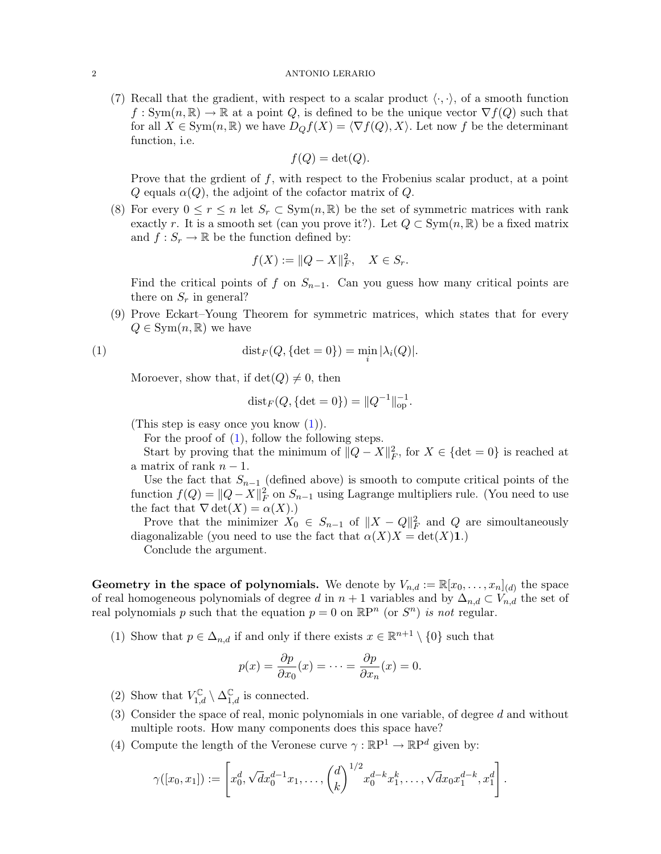## 2 ANTONIO LERARIO

(7) Recall that the gradient, with respect to a scalar product  $\langle \cdot, \cdot \rangle$ , of a smooth function  $f: Sym(n, \mathbb{R}) \to \mathbb{R}$  at a point Q, is defined to be the unique vector  $\nabla f(Q)$  such that for all  $X \in \text{Sym}(n, \mathbb{R})$  we have  $D_{Q}f(X) = \langle \nabla f(Q), X \rangle$ . Let now f be the determinant function, i.e.

$$
f(Q) = \det(Q).
$$

Prove that the gradient of  $f$ , with respect to the Frobenius scalar product, at a point Q equals  $\alpha(Q)$ , the adjoint of the cofactor matrix of Q.

(8) For every  $0 \le r \le n$  let  $S_r \subset \text{Sym}(n, \mathbb{R})$  be the set of symmetric matrices with rank exactly r. It is a smooth set (can you prove it?). Let  $Q \subset \text{Sym}(n, \mathbb{R})$  be a fixed matrix and  $f: S_r \to \mathbb{R}$  be the function defined by:

$$
f(X) := ||Q - X||_F^2, \quad X \in S_r.
$$

Find the critical points of f on  $S_{n-1}$ . Can you guess how many critical points are there on  $S_r$  in general?

(9) Prove Eckart–Young Theorem for symmetric matrices, which states that for every  $Q \in \text{Sym}(n,\mathbb{R})$  we have

(1) 
$$
\text{dist}_F(Q, \{\text{det} = 0\}) = \min_i |\lambda_i(Q)|.
$$

Moroever, show that, if  $\det(Q) \neq 0$ , then

$$
dist_F(Q, \{\det = 0\}) = ||Q^{-1}||_{op}^{-1}.
$$

(This step is easy once you know  $(1)$ ).

For the proof of [\(1\)](#page-0-4), follow the following steps.

Start by proving that the minimum of  $||Q - X||_F^2$ , for  $X \in \{\text{det} = 0\}$  is reached at a matrix of rank  $n-1$ .

Use the fact that  $S_{n-1}$  (defined above) is smooth to compute critical points of the function  $f(Q) = ||Q - X||_F^2$  on  $S_{n-1}$  using Lagrange multipliers rule. (You need to use the fact that  $\nabla \det(X) = \alpha(X)$ .

Prove that the minimizer  $X_0 \in S_{n-1}$  of  $||X - Q||_F^2$  and Q are simoultaneously diagonalizable (you need to use the fact that  $\alpha(X)X = \det(X)1$ .)

Conclude the argument.

**Geometry in the space of polynomials.** We denote by  $V_{n,d} := \mathbb{R}[x_0, \ldots, x_n]_{(d)}$  the space of real homogeneous polynomials of degree d in  $n + 1$  variables and by  $\Delta_{n,d} \subset V_{n,d}$  the set of real polynomials p such that the equation  $p = 0$  on  $\mathbb{R}P^n$  (or  $S^n$ ) is not regular.

(1) Show that  $p \in \Delta_{n,d}$  if and only if there exists  $x \in \mathbb{R}^{n+1} \setminus \{0\}$  such that

$$
p(x) = \frac{\partial p}{\partial x_0}(x) = \dots = \frac{\partial p}{\partial x_n}(x) = 0.
$$

- (2) Show that  $V_{1,d}^{\mathbb{C}} \setminus \Delta_{1,d}^{\mathbb{C}}$  is connected.
- (3) Consider the space of real, monic polynomials in one variable, of degree d and without multiple roots. How many components does this space have?
- (4) Compute the length of the Veronese curve  $\gamma : \mathbb{R}P^1 \to \mathbb{R}P^d$  given by:

$$
\gamma([x_0,x_1]):=\left[x_0^d,\sqrt{d}x_0^{d-1}x_1,\ldots,\binom{d}{k}^{1/2}x_0^{d-k}x_1^k,\ldots,\sqrt{d}x_0x_1^{d-k},x_1^d\right].
$$